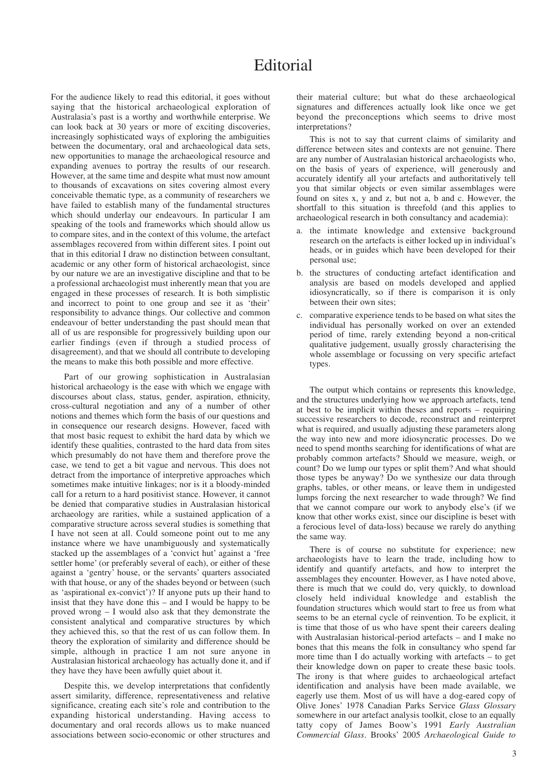## Editorial

For the audience likely to read this editorial, it goes without saying that the historical archaeological exploration of Australasia's past is a worthy and worthwhile enterprise. We can look back at 30 years or more of exciting discoveries, increasingly sophisticated ways of exploring the ambiguities between the documentary, oral and archaeological data sets, new opportunities to manage the archaeological resource and expanding avenues to portray the results of our research. However, at the same time and despite what must now amount to thousands of excavations on sites covering almost every conceivable thematic type, as a community of researchers we have failed to establish many of the fundamental structures which should underlay our endeavours. In particular I am speaking of the tools and frameworks which should allow us to compare sites, and in the context of this volume, the artefact assemblages recovered from within different sites. I point out that in this editorial I draw no distinction between consultant, academic or any other form of historical archaeologist, since by our nature we are an investigative discipline and that to be a professional archaeologist must inherently mean that you are engaged in these processes of research. It is both simplistic and incorrect to point to one group and see it as 'their' responsibility to advance things. Our collective and common endeavour of better understanding the past should mean that all of us are responsible for progressively building upon our earlier findings (even if through a studied process of disagreement), and that we should all contribute to developing the means to make this both possible and more effective.

Part of our growing sophistication in Australasian historical archaeology is the ease with which we engage with discourses about class, status, gender, aspiration, ethnicity, cross-cultural negotiation and any of a number of other notions and themes which form the basis of our questions and in consequence our research designs. However, faced with that most basic request to exhibit the hard data by which we identify these qualities, contrasted to the hard data from sites which presumably do not have them and therefore prove the case, we tend to get a bit vague and nervous. This does not detract from the importance of interpretive approaches which sometimes make intuitive linkages; nor is it a bloody-minded call for a return to a hard positivist stance. However, it cannot be denied that comparative studies in Australasian historical archaeology are rarities, while a sustained application of a comparative structure across several studies is something that I have not seen at all. Could someone point out to me any instance where we have unambiguously and systematically stacked up the assemblages of a 'convict hut' against a 'free settler home' (or preferably several of each), or either of these against a 'gentry' house, or the servants' quarters associated with that house, or any of the shades beyond or between (such as 'aspirational ex-convict')? If anyone puts up their hand to insist that they have done this – and I would be happy to be proved wrong – I would also ask that they demonstrate the consistent analytical and comparative structures by which they achieved this, so that the rest of us can follow them. In theory the exploration of similarity and difference should be simple, although in practice I am not sure anyone in Australasian historical archaeology has actually done it, and if they have they have been awfully quiet about it.

Despite this, we develop interpretations that confidently assert similarity, difference, representativeness and relative significance, creating each site's role and contribution to the expanding historical understanding. Having access to documentary and oral records allows us to make nuanced associations between socio-economic or other structures and their material culture; but what do these archaeological signatures and differences actually look like once we get beyond the preconceptions which seems to drive most interpretations?

This is not to say that current claims of similarity and difference between sites and contexts are not genuine. There are any number of Australasian historical archaeologists who, on the basis of years of experience, will generously and accurately identify all your artefacts and authoritatively tell you that similar objects or even similar assemblages were found on sites x, y and z, but not a, b and c. However, the shortfall to this situation is threefold (and this applies to archaeological research in both consultancy and academia):

- a. the intimate knowledge and extensive background research on the artefacts is either locked up in individual's heads, or in guides which have been developed for their personal use;
- b. the structures of conducting artefact identification and analysis are based on models developed and applied idiosyncratically, so if there is comparison it is only between their own sites;
- c. comparative experience tends to be based on what sites the individual has personally worked on over an extended period of time, rarely extending beyond a non-critical qualitative judgement, usually grossly characterising the whole assemblage or focussing on very specific artefact types.

The output which contains or represents this knowledge, and the structures underlying how we approach artefacts, tend at best to be implicit within theses and reports – requiring successive researchers to decode, reconstruct and reinterpret what is required, and usually adjusting these parameters along the way into new and more idiosyncratic processes. Do we need to spend months searching for identifications of what are probably common artefacts? Should we measure, weigh, or count? Do we lump our types or split them? And what should those types be anyway? Do we synthesize our data through graphs, tables, or other means, or leave them in undigested lumps forcing the next researcher to wade through? We find that we cannot compare our work to anybody else's (if we know that other works exist, since our discipline is beset with a ferocious level of data-loss) because we rarely do anything the same way.

There is of course no substitute for experience; new archaeologists have to learn the trade, including how to identify and quantify artefacts, and how to interpret the assemblages they encounter. However, as I have noted above, there is much that we could do, very quickly, to download closely held individual knowledge and establish the foundation structures which would start to free us from what seems to be an eternal cycle of reinvention. To be explicit, it is time that those of us who have spent their careers dealing with Australasian historical-period artefacts – and I make no bones that this means the folk in consultancy who spend far more time than I do actually working with artefacts – to get their knowledge down on paper to create these basic tools. The irony is that where guides to archaeological artefact identification and analysis have been made available, we eagerly use them. Most of us will have a dog-eared copy of Olive Jones' 1978 Canadian Parks Service *Glass Glossary* somewhere in our artefact analysis toolkit, close to an equally tatty copy of James Boow's 1991 *Early Australian Commercial Glass*. Brooks' 2005 *Archaeological Guide to*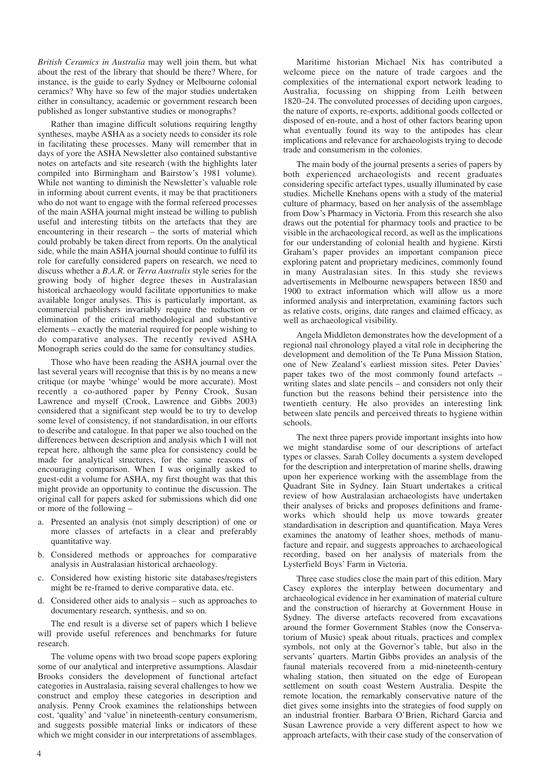*British Ceramics in Australia* may well join them, but what about the rest of the library that should be there? Where, for instance, is the guide to early Sydney or Melbourne colonial ceramics? Why have so few of the major studies undertaken either in consultancy, academic or government research been published as longer substantive studies or monographs?

Rather than imagine difficult solutions requiring lengthy syntheses, maybe ASHA as a society needs to consider its role in facilitating these processes. Many will remember that in days of yore the ASHA Newsletter also contained substantive notes on artefacts and site research (with the highlights later compiled into Birmingham and Bairstow's 1981 volume). While not wanting to diminish the Newsletter's valuable role in informing about current events, it may be that practitioners who do not want to engage with the formal refereed processes of the main ASHA journal might instead be willing to publish useful and interesting titbits on the artefacts that they are encountering in their research – the sorts of material which could probably be taken direct from reports. On the analytical side, while the main ASHA journal should continue to fulfil its role for carefully considered papers on research, we need to discuss whether a *B.A.R.* or *Terra Australis* style series for the growing body of higher degree theses in Australasian historical archaeology would facilitate opportunities to make available longer analyses. This is particularly important, as commercial publishers invariably require the reduction or elimination of the critical methodological and substantive elements – exactly the material required for people wishing to do comparative analyses. The recently revived ASHA Monograph series could do the same for consultancy studies.

Those who have been reading the ASHA journal over the last several years will recognise that this is by no means a new critique (or maybe 'whinge' would be more accurate). Most recently a co-authored paper by Penny Crook, Susan Lawrence and myself (Crook, Lawrence and Gibbs 2003) considered that a significant step would be to try to develop some level of consistency, if not standardisation, in our efforts to describe and catalogue. In that paper we also touched on the differences between description and analysis which I will not repeat here, although the same plea for consistency could be made for analytical structures, for the same reasons of encouraging comparison. When I was originally asked to guest-edit a volume for ASHA, my first thought was that this might provide an opportunity to continue the discussion. The original call for papers asked for submissions which did one or more of the following –

- a. Presented an analysis (not simply description) of one or more classes of artefacts in a clear and preferably quantitative way.
- b. Considered methods or approaches for comparative analysis in Australasian historical archaeology.
- c. Considered how existing historic site databases/registers might be re-framed to derive comparative data, etc.
- d. Considered other aids to analysis such as approaches to documentary research, synthesis, and so on.

The end result is a diverse set of papers which I believe will provide useful references and benchmarks for future research.

The volume opens with two broad scope papers exploring some of our analytical and interpretive assumptions. Alasdair Brooks considers the development of functional artefact categories in Australasia, raising several challenges to how we construct and employ these categories in description and analysis. Penny Crook examines the relationships between cost, 'quality' and 'value' in nineteenth-century consumerism, and suggests possible material links or indicators of these which we might consider in our interpretations of assemblages.

Maritime historian Michael Nix has contributed a welcome piece on the nature of trade cargoes and the complexities of the international export network leading to Australia, focussing on shipping from Leith between 1820–24. The convoluted processes of deciding upon cargoes, the nature of exports, re-exports, additional goods collected or disposed of en-route, and a host of other factors bearing upon what eventually found its way to the antipodes has clear implications and relevance for archaeologists trying to decode trade and consumerism in the colonies.

The main body of the journal presents a series of papers by both experienced archaeologists and recent graduates considering specific artefact types, usually illuminated by case studies. Michelle Knehans opens with a study of the material culture of pharmacy, based on her analysis of the assemblage from Dow's Pharmacy in Victoria. From this research she also draws out the potential for pharmacy tools and practice to be visible in the archaeological record, as well as the implications for our understanding of colonial health and hygiene. Kirsti Graham's paper provides an important companion piece exploring patent and proprietary medicines, commonly found in many Australasian sites. In this study she reviews advertisements in Melbourne newspapers between 1850 and 1900 to extract information which will allow us a more informed analysis and interpretation, examining factors such as relative costs, origins, date ranges and claimed efficacy, as well as archaeological visibility.

Angela Middleton demonstrates how the development of a regional nail chronology played a vital role in deciphering the development and demolition of the Te Puna Mission Station, one of New Zealand's earliest mission sites. Peter Davies' paper takes two of the most commonly found artefacts – writing slates and slate pencils – and considers not only their function but the reasons behind their persistence into the twentieth century. He also provides an interesting link between slate pencils and perceived threats to hygiene within schools.

The next three papers provide important insights into how we might standardise some of our descriptions of artefact types or classes. Sarah Colley documents a system developed for the description and interpretation of marine shells, drawing upon her experience working with the assemblage from the Quadrant Site in Sydney. Iain Stuart undertakes a critical review of how Australasian archaeologists have undertaken their analyses of bricks and proposes definitions and frameworks which should help us move towards greater standardisation in description and quantification. Maya Veres examines the anatomy of leather shoes, methods of manufacture and repair, and suggests approaches to archaeological recording, based on her analysis of materials from the Lysterfield Boys' Farm in Victoria.

Three case studies close the main part of this edition. Mary Casey explores the interplay between documentary and archaeological evidence in her examination of material culture and the construction of hierarchy at Government House in Sydney. The diverse artefacts recovered from excavations around the former Government Stables (now the Conservatorium of Music) speak about rituals, practices and complex symbols, not only at the Governor's table, but also in the servants' quarters. Martin Gibbs provides an analysis of the faunal materials recovered from a mid-nineteenth-century whaling station, then situated on the edge of European settlement on south coast Western Australia. Despite the remote location, the remarkably conservative nature of the diet gives some insights into the strategies of food supply on an industrial frontier. Barbara O'Brien, Richard Garcia and Susan Lawrence provide a very different aspect to how we approach artefacts, with their case study of the conservation of